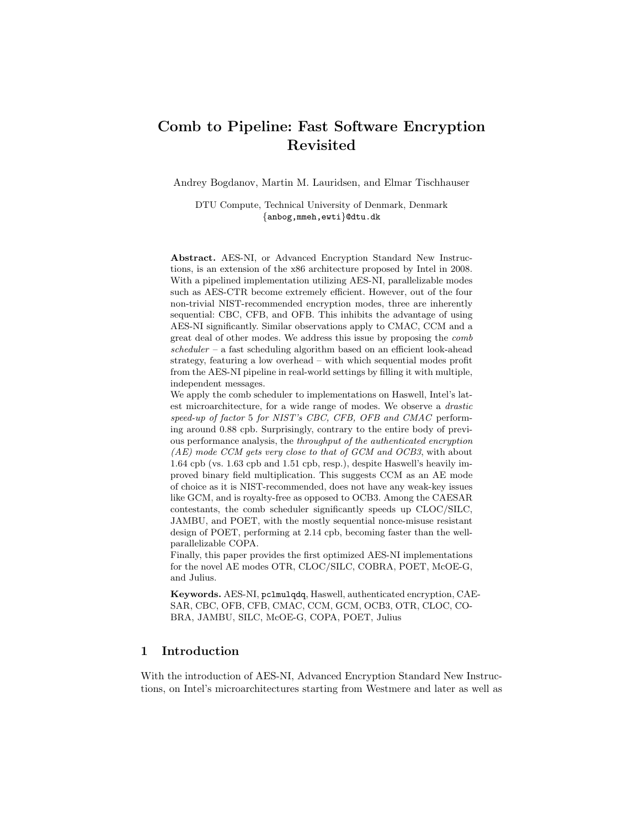# Comb to Pipeline: Fast Software Encryption Revisited

Andrey Bogdanov, Martin M. Lauridsen, and Elmar Tischhauser

DTU Compute, Technical University of Denmark, Denmark {anbog,mmeh,ewti}@dtu.dk

Abstract. AES-NI, or Advanced Encryption Standard New Instructions, is an extension of the x86 architecture proposed by Intel in 2008. With a pipelined implementation utilizing AES-NI, parallelizable modes such as AES-CTR become extremely efficient. However, out of the four non-trivial NIST-recommended encryption modes, three are inherently sequential: CBC, CFB, and OFB. This inhibits the advantage of using AES-NI significantly. Similar observations apply to CMAC, CCM and a great deal of other modes. We address this issue by proposing the comb  $scheduler - a$  fast scheduling algorithm based on an efficient look-ahead strategy, featuring a low overhead – with which sequential modes profit from the AES-NI pipeline in real-world settings by filling it with multiple, independent messages.

We apply the comb scheduler to implementations on Haswell, Intel's latest microarchitecture, for a wide range of modes. We observe a drastic speed-up of factor 5 for NIST's CBC, CFB, OFB and CMAC performing around 0.88 cpb. Surprisingly, contrary to the entire body of previous performance analysis, the throughput of the authenticated encryption (AE) mode CCM gets very close to that of GCM and OCB3, with about 1.64 cpb (vs. 1.63 cpb and 1.51 cpb, resp.), despite Haswell's heavily improved binary field multiplication. This suggests CCM as an AE mode of choice as it is NIST-recommended, does not have any weak-key issues like GCM, and is royalty-free as opposed to OCB3. Among the CAESAR contestants, the comb scheduler significantly speeds up CLOC/SILC, JAMBU, and POET, with the mostly sequential nonce-misuse resistant design of POET, performing at 2.14 cpb, becoming faster than the wellparallelizable COPA.

Finally, this paper provides the first optimized AES-NI implementations for the novel AE modes OTR, CLOC/SILC, COBRA, POET, McOE-G, and Julius.

Keywords. AES-NI, pclmulqdq, Haswell, authenticated encryption, CAE-SAR, CBC, OFB, CFB, CMAC, CCM, GCM, OCB3, OTR, CLOC, CO-BRA, JAMBU, SILC, McOE-G, COPA, POET, Julius

# 1 Introduction

With the introduction of AES-NI, Advanced Encryption Standard New Instructions, on Intel's microarchitectures starting from Westmere and later as well as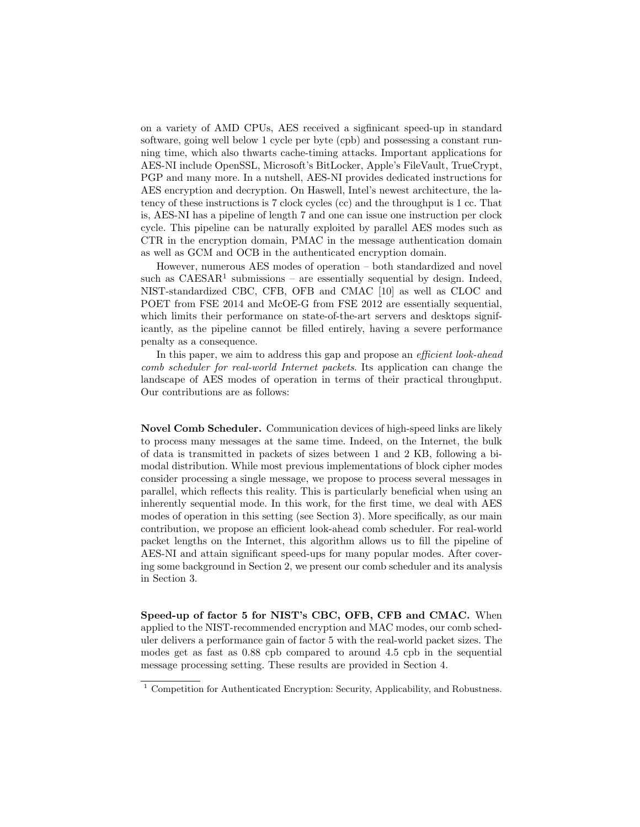on a variety of AMD CPUs, AES received a sigfinicant speed-up in standard software, going well below 1 cycle per byte (cpb) and possessing a constant running time, which also thwarts cache-timing attacks. Important applications for AES-NI include OpenSSL, Microsoft's BitLocker, Apple's FileVault, TrueCrypt, PGP and many more. In a nutshell, AES-NI provides dedicated instructions for AES encryption and decryption. On Haswell, Intel's newest architecture, the latency of these instructions is 7 clock cycles (cc) and the throughput is 1 cc. That is, AES-NI has a pipeline of length 7 and one can issue one instruction per clock cycle. This pipeline can be naturally exploited by parallel AES modes such as CTR in the encryption domain, PMAC in the message authentication domain as well as GCM and OCB in the authenticated encryption domain.

However, numerous AES modes of operation – both standardized and novel such as  $CAESAR<sup>1</sup>$  submissions – are essentially sequential by design. Indeed, NIST-standardized CBC, CFB, OFB and CMAC [10] as well as CLOC and POET from FSE 2014 and McOE-G from FSE 2012 are essentially sequential, which limits their performance on state-of-the-art servers and desktops significantly, as the pipeline cannot be filled entirely, having a severe performance penalty as a consequence.

In this paper, we aim to address this gap and propose an *efficient look-ahead* comb scheduler for real-world Internet packets. Its application can change the landscape of AES modes of operation in terms of their practical throughput. Our contributions are as follows:

Novel Comb Scheduler. Communication devices of high-speed links are likely to process many messages at the same time. Indeed, on the Internet, the bulk of data is transmitted in packets of sizes between 1 and 2 KB, following a bimodal distribution. While most previous implementations of block cipher modes consider processing a single message, we propose to process several messages in parallel, which reflects this reality. This is particularly beneficial when using an inherently sequential mode. In this work, for the first time, we deal with AES modes of operation in this setting (see Section 3). More specifically, as our main contribution, we propose an efficient look-ahead comb scheduler. For real-world packet lengths on the Internet, this algorithm allows us to fill the pipeline of AES-NI and attain significant speed-ups for many popular modes. After covering some background in Section 2, we present our comb scheduler and its analysis in Section 3.

Speed-up of factor 5 for NIST's CBC, OFB, CFB and CMAC. When applied to the NIST-recommended encryption and MAC modes, our comb scheduler delivers a performance gain of factor 5 with the real-world packet sizes. The modes get as fast as 0.88 cpb compared to around 4.5 cpb in the sequential message processing setting. These results are provided in Section 4.

<sup>&</sup>lt;sup>1</sup> Competition for Authenticated Encryption: Security, Applicability, and Robustness.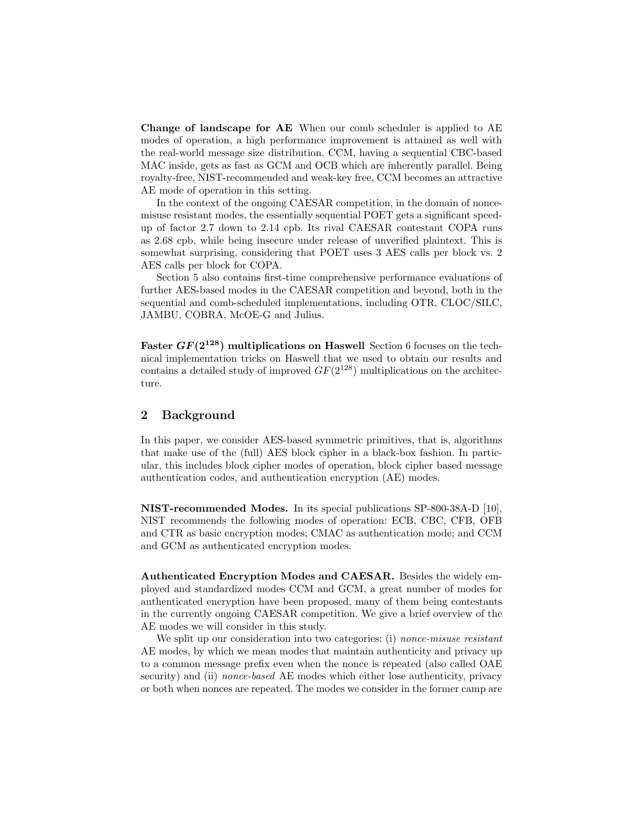Change of landscape for AE When our comb scheduler is applied to AE modes of operation, a high performance improvement is attained as well with the real-world message size distribution. CCM, having a sequential CBC-based MAC inside, gets as fast as GCM and OCB which are inherently parallel. Being royalty-free, NIST-recommended and weak-key free, CCM becomes an attractive AE mode of operation in this setting.

In the context of the ongoing CAESAR competition, in the domain of noncemisuse resistant modes, the essentially sequential POET gets a significant speedup of factor 2.7 down to 2.14 cpb. Its rival CAESAR contestant COPA runs as 2.68 cpb, while being insecure under release of unverified plaintext. This is somewhat surprising, considering that POET uses 3 AES calls per block vs. 2 AES calls per block for COPA.

Section 5 also contains first-time comprehensive performance evaluations of further AES-based modes in the CAESAR competition and beyond, both in the sequential and comb-scheduled implementations, including OTR, CLOC/SILC, JAMBU, COBRA, McOE-G and Julius.

Faster  $GF(2^{128})$  multiplications on Haswell Section 6 focuses on the technical implementation tricks on Haswell that we used to obtain our results and contains a detailed study of improved  $GF(2^{128})$  multiplications on the architecture.

### 2 Background

In this paper, we consider AES-based symmetric primitives, that is, algorithms that make use of the (full) AES block cipher in a black-box fashion. In particular, this includes block cipher modes of operation, block cipher based message authentication codes, and authentication encryption (AE) modes.

NIST-recommended Modes. In its special publications SP-800-38A-D [10], NIST recommends the following modes of operation: ECB, CBC, CFB, OFB and CTR as basic encryption modes; CMAC as authentication mode; and CCM and GCM as authenticated encryption modes.

Authenticated Encryption Modes and CAESAR. Besides the widely employed and standardized modes CCM and GCM, a great number of modes for authenticated encryption have been proposed, many of them being contestants in the currently ongoing CAESAR competition. We give a brief overview of the AE modes we will consider in this study.

We split up our consideration into two categories: (i) *nonce-misuse resistant* AE modes, by which we mean modes that maintain authenticity and privacy up to a common message prefix even when the nonce is repeated (also called OAE security) and (ii) nonce-based AE modes which either lose authenticity, privacy or both when nonces are repeated. The modes we consider in the former camp are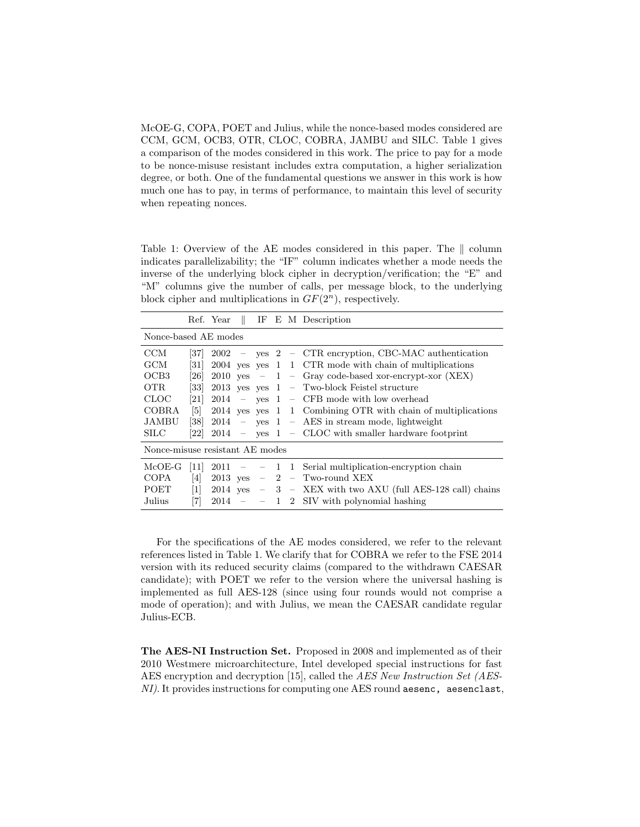McOE-G, COPA, POET and Julius, while the nonce-based modes considered are CCM, GCM, OCB3, OTR, CLOC, COBRA, JAMBU and SILC. Table 1 gives a comparison of the modes considered in this work. The price to pay for a mode to be nonce-misuse resistant includes extra computation, a higher serialization degree, or both. One of the fundamental questions we answer in this work is how much one has to pay, in terms of performance, to maintain this level of security when repeating nonces.

Table 1: Overview of the AE modes considered in this paper. The  $\parallel$  column indicates parallelizability; the "IF" column indicates whether a mode needs the inverse of the underlying block cipher in decryption/verification; the "E" and "M" columns give the number of calls, per message block, to the underlying block cipher and multiplications in  $GF(2<sup>n</sup>)$ , respectively.

|                                 |      |      |  |  | Ref. Year    IF E M Description                                               |
|---------------------------------|------|------|--|--|-------------------------------------------------------------------------------|
| Nonce-based AE modes            |      |      |  |  |                                                                               |
| CCM                             | [37] |      |  |  | $2002 - \text{yes } 2 - \text{CTR encryption}, \text{CBC-MAC authentication}$ |
| GCM                             | [31] |      |  |  | 2004 yes yes 1 1 CTR mode with chain of multiplications                       |
| OCB3                            | 26   |      |  |  | $2010$ yes $-1$ $-$ Gray code-based xor-encrypt-xor (XEX)                     |
| OTR.                            | [33] |      |  |  | $2013$ yes yes $1 - Two-block$ Feistel structure                              |
| <b>CLOC</b>                     | [21] | 2014 |  |  | $\sim$ ves 1 – CFB mode with low overhead                                     |
| COBRA                           | 5    |      |  |  | 2014 yes yes 1 1 Combining OTR with chain of multiplications                  |
| JAMBU                           | 38   |      |  |  | $2014 - \text{yes} 1 - \text{AES in stream mode, lightweight}$                |
| <b>SILC</b>                     | [22] |      |  |  | $2014$ – yes 1 – CLOC with smaller hardware footprint                         |
| Nonce-misuse resistant AE modes |      |      |  |  |                                                                               |
| $McOE-G$                        | 11   |      |  |  | $2011 - 1$ Serial multiplication-encryption chain                             |
| COPA                            | 4    |      |  |  | $2013$ yes $-2$ $-$ Two-round XEX                                             |
| <b>POET</b>                     | 1    |      |  |  | $2014$ yes $-3$ $-$ XEX with two AXU (full AES-128 call) chains               |
| Julius                          | 17   |      |  |  | $2014$ – – 1 2 SIV with polynomial hashing                                    |

For the specifications of the AE modes considered, we refer to the relevant references listed in Table 1. We clarify that for COBRA we refer to the FSE 2014 version with its reduced security claims (compared to the withdrawn CAESAR candidate); with POET we refer to the version where the universal hashing is implemented as full AES-128 (since using four rounds would not comprise a mode of operation); and with Julius, we mean the CAESAR candidate regular Julius-ECB.

The AES-NI Instruction Set. Proposed in 2008 and implemented as of their 2010 Westmere microarchitecture, Intel developed special instructions for fast AES encryption and decryption [15], called the AES New Instruction Set (AES-NI). It provides instructions for computing one AES round aesenc, aesenclast,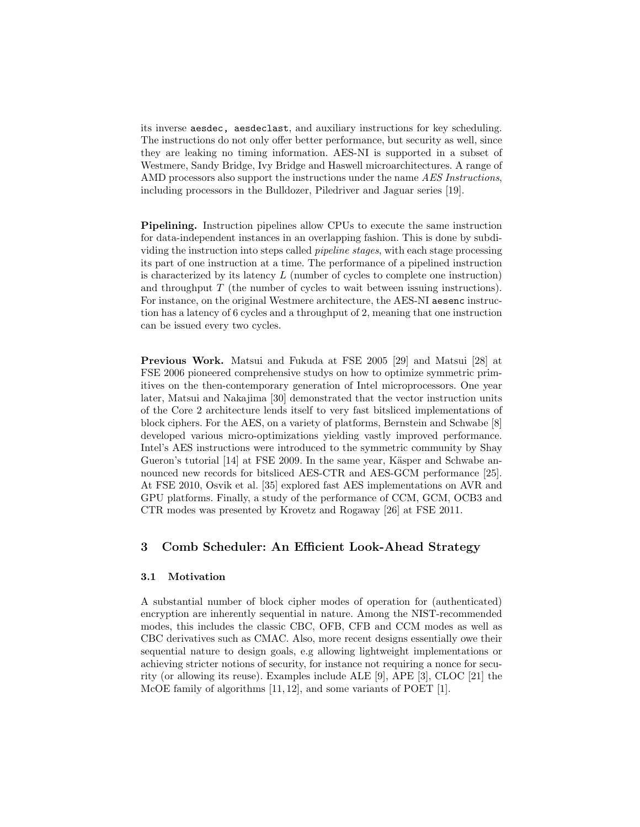its inverse aesdec, aesdeclast, and auxiliary instructions for key scheduling. The instructions do not only offer better performance, but security as well, since they are leaking no timing information. AES-NI is supported in a subset of Westmere, Sandy Bridge, Ivy Bridge and Haswell microarchitectures. A range of AMD processors also support the instructions under the name AES Instructions, including processors in the Bulldozer, Piledriver and Jaguar series [19].

Pipelining. Instruction pipelines allow CPUs to execute the same instruction for data-independent instances in an overlapping fashion. This is done by subdividing the instruction into steps called pipeline stages, with each stage processing its part of one instruction at a time. The performance of a pipelined instruction is characterized by its latency  $L$  (number of cycles to complete one instruction) and throughput  $T$  (the number of cycles to wait between issuing instructions). For instance, on the original Westmere architecture, the AES-NI aesenc instruction has a latency of 6 cycles and a throughput of 2, meaning that one instruction can be issued every two cycles.

Previous Work. Matsui and Fukuda at FSE 2005 [29] and Matsui [28] at FSE 2006 pioneered comprehensive studys on how to optimize symmetric primitives on the then-contemporary generation of Intel microprocessors. One year later, Matsui and Nakajima [30] demonstrated that the vector instruction units of the Core 2 architecture lends itself to very fast bitsliced implementations of block ciphers. For the AES, on a variety of platforms, Bernstein and Schwabe [8] developed various micro-optimizations yielding vastly improved performance. Intel's AES instructions were introduced to the symmetric community by Shay Gueron's tutorial [14] at FSE 2009. In the same year, Käsper and Schwabe announced new records for bitsliced AES-CTR and AES-GCM performance [25]. At FSE 2010, Osvik et al. [35] explored fast AES implementations on AVR and GPU platforms. Finally, a study of the performance of CCM, GCM, OCB3 and CTR modes was presented by Krovetz and Rogaway [26] at FSE 2011.

# 3 Comb Scheduler: An Efficient Look-Ahead Strategy

#### 3.1 Motivation

A substantial number of block cipher modes of operation for (authenticated) encryption are inherently sequential in nature. Among the NIST-recommended modes, this includes the classic CBC, OFB, CFB and CCM modes as well as CBC derivatives such as CMAC. Also, more recent designs essentially owe their sequential nature to design goals, e.g allowing lightweight implementations or achieving stricter notions of security, for instance not requiring a nonce for security (or allowing its reuse). Examples include ALE [9], APE [3], CLOC [21] the McOE family of algorithms [11, 12], and some variants of POET [1].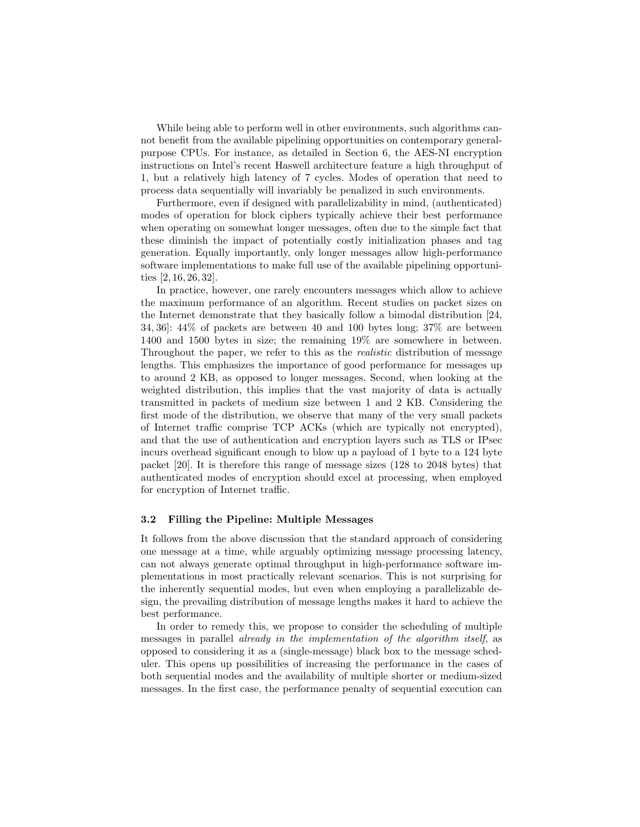While being able to perform well in other environments, such algorithms cannot benefit from the available pipelining opportunities on contemporary generalpurpose CPUs. For instance, as detailed in Section 6, the AES-NI encryption instructions on Intel's recent Haswell architecture feature a high throughput of 1, but a relatively high latency of 7 cycles. Modes of operation that need to process data sequentially will invariably be penalized in such environments.

Furthermore, even if designed with parallelizability in mind, (authenticated) modes of operation for block ciphers typically achieve their best performance when operating on somewhat longer messages, often due to the simple fact that these diminish the impact of potentially costly initialization phases and tag generation. Equally importantly, only longer messages allow high-performance software implementations to make full use of the available pipelining opportunities [2, 16, 26, 32].

In practice, however, one rarely encounters messages which allow to achieve the maximum performance of an algorithm. Recent studies on packet sizes on the Internet demonstrate that they basically follow a bimodal distribution [24, 34, 36]: 44% of packets are between 40 and 100 bytes long; 37% are between 1400 and 1500 bytes in size; the remaining 19% are somewhere in between. Throughout the paper, we refer to this as the realistic distribution of message lengths. This emphasizes the importance of good performance for messages up to around 2 KB, as opposed to longer messages. Second, when looking at the weighted distribution, this implies that the vast majority of data is actually transmitted in packets of medium size between 1 and 2 KB. Considering the first mode of the distribution, we observe that many of the very small packets of Internet traffic comprise TCP ACKs (which are typically not encrypted), and that the use of authentication and encryption layers such as TLS or IPsec incurs overhead significant enough to blow up a payload of 1 byte to a 124 byte packet [20]. It is therefore this range of message sizes (128 to 2048 bytes) that authenticated modes of encryption should excel at processing, when employed for encryption of Internet traffic.

#### 3.2 Filling the Pipeline: Multiple Messages

It follows from the above discussion that the standard approach of considering one message at a time, while arguably optimizing message processing latency, can not always generate optimal throughput in high-performance software implementations in most practically relevant scenarios. This is not surprising for the inherently sequential modes, but even when employing a parallelizable design, the prevailing distribution of message lengths makes it hard to achieve the best performance.

In order to remedy this, we propose to consider the scheduling of multiple messages in parallel already in the implementation of the algorithm itself, as opposed to considering it as a (single-message) black box to the message scheduler. This opens up possibilities of increasing the performance in the cases of both sequential modes and the availability of multiple shorter or medium-sized messages. In the first case, the performance penalty of sequential execution can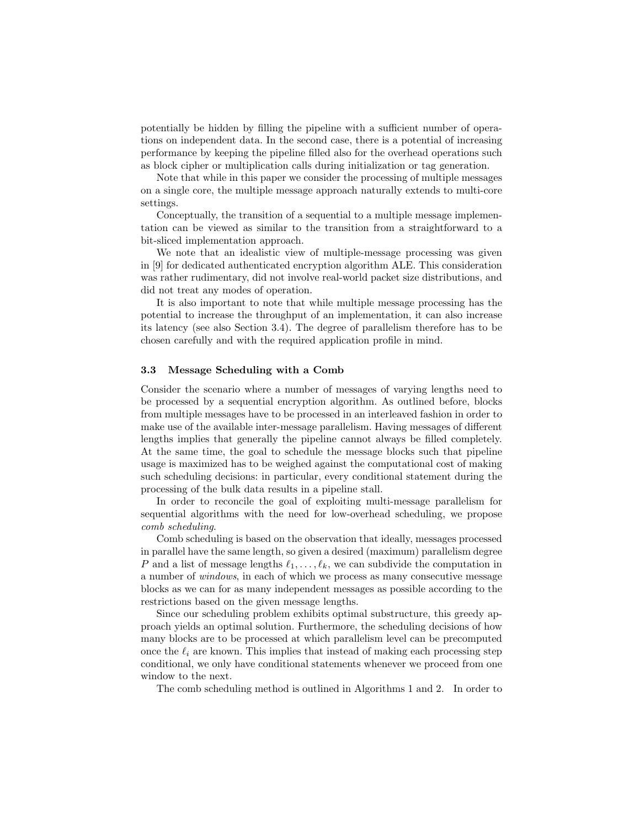potentially be hidden by filling the pipeline with a sufficient number of operations on independent data. In the second case, there is a potential of increasing performance by keeping the pipeline filled also for the overhead operations such as block cipher or multiplication calls during initialization or tag generation.

Note that while in this paper we consider the processing of multiple messages on a single core, the multiple message approach naturally extends to multi-core settings.

Conceptually, the transition of a sequential to a multiple message implementation can be viewed as similar to the transition from a straightforward to a bit-sliced implementation approach.

We note that an idealistic view of multiple-message processing was given in [9] for dedicated authenticated encryption algorithm ALE. This consideration was rather rudimentary, did not involve real-world packet size distributions, and did not treat any modes of operation.

It is also important to note that while multiple message processing has the potential to increase the throughput of an implementation, it can also increase its latency (see also Section 3.4). The degree of parallelism therefore has to be chosen carefully and with the required application profile in mind.

#### 3.3 Message Scheduling with a Comb

Consider the scenario where a number of messages of varying lengths need to be processed by a sequential encryption algorithm. As outlined before, blocks from multiple messages have to be processed in an interleaved fashion in order to make use of the available inter-message parallelism. Having messages of different lengths implies that generally the pipeline cannot always be filled completely. At the same time, the goal to schedule the message blocks such that pipeline usage is maximized has to be weighed against the computational cost of making such scheduling decisions: in particular, every conditional statement during the processing of the bulk data results in a pipeline stall.

In order to reconcile the goal of exploiting multi-message parallelism for sequential algorithms with the need for low-overhead scheduling, we propose comb scheduling.

Comb scheduling is based on the observation that ideally, messages processed in parallel have the same length, so given a desired (maximum) parallelism degree P and a list of message lengths  $\ell_1, \ldots, \ell_k$ , we can subdivide the computation in a number of windows, in each of which we process as many consecutive message blocks as we can for as many independent messages as possible according to the restrictions based on the given message lengths.

Since our scheduling problem exhibits optimal substructure, this greedy approach yields an optimal solution. Furthermore, the scheduling decisions of how many blocks are to be processed at which parallelism level can be precomputed once the  $\ell_i$  are known. This implies that instead of making each processing step conditional, we only have conditional statements whenever we proceed from one window to the next.

The comb scheduling method is outlined in Algorithms 1 and 2. In order to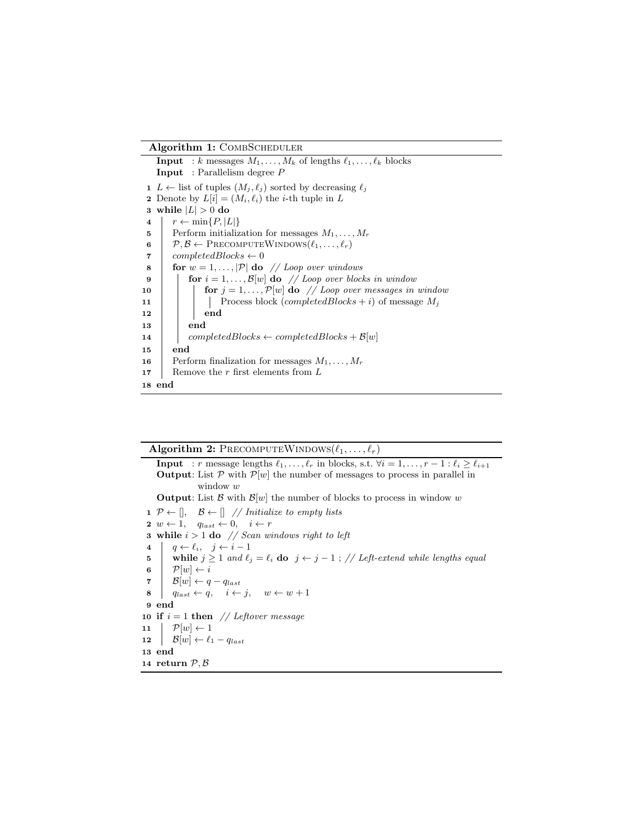# Algorithm 1: COMBSCHEDULER

**Input** : k messages  $M_1, \ldots, M_k$  of lengths  $\ell_1, \ldots, \ell_k$  blocks  $\mbox{\bf Input}~$ : Parallelism degree  $P$ 1 L ← list of tuples  $(M_j, \ell_j)$  sorted by decreasing  $\ell_j$ 2 Denote by  $L[i] = (M_i, \ell_i)$  the *i*-th tuple in L 3 while  $|L| > 0$  do  $4 \mid r \leftarrow \min\{P, |L|\}$ 5 Perform initialization for messages  $M_1, \ldots, M_r$ 6 |  $P, \mathcal{B} \leftarrow \text{PRECOMPUTEWinDows}(\ell_1, \ldots, \ell_r)$ 7  $completely blocks \leftarrow 0$ 8 **for**  $w = 1, ..., |\mathcal{P}|$  **do** // Loop over windows 9 **for**  $i = 1, ..., \mathcal{B}[w]$  do // Loop over blocks in window 10 **for**  $j = 1, ..., P[w]$  **do** // Loop over messages in window 11 | | Process block  $(completed Blocks + i)$  of message  $M_j$  $12 \mid \cdot \mid$  end  $13$  end 14  $\vert$  completedBlocks  $\leftarrow$  completedBlocks +  $\mathcal{B}[w]$ 15 end 16 Perform finalization for messages  $M_1, \ldots, M_r$ 17 Remove the r first elements from  $L$ 18 end

| <b>Algorithm 2:</b> PRECOMPUTEWINDOWS $(\ell_1, \ldots, \ell_r)$                                                                |
|---------------------------------------------------------------------------------------------------------------------------------|
| <b>Input</b> : r message lengths $\ell_1, \ldots, \ell_r$ in blocks, s.t. $\forall i = 1, \ldots, r-1 : \ell_i \geq \ell_{i+1}$ |
| <b>Output:</b> List $P$ with $P[w]$ the number of messages to process in parallel in                                            |
| window $w$                                                                                                                      |
| <b>Output:</b> List B with $\mathcal{B}[w]$ the number of blocks to process in window w                                         |
| $1 \mathcal{P} \leftarrow   , \mathcal{B} \leftarrow   $ // Initialize to empty lists                                           |
| $2 \ w \leftarrow 1, \quad q_{last} \leftarrow 0, \quad i \leftarrow r$                                                         |
| <b>3</b> while $i > 1$ do // Scan windows right to left                                                                         |
| 4 $q \leftarrow \ell_i, \quad i \leftarrow i-1$                                                                                 |
| 5   while $j \ge 1$ and $\ell_j = \ell_i$ do $j \leftarrow j - 1$ ; // Left-extend while lengths equal                          |
| 6 $\mathcal{P}[w] \leftarrow i$                                                                                                 |
| 7   $\mathcal{B}[w] \leftarrow q - q_{last}$                                                                                    |
| $q_{last} \leftarrow q, \quad i \leftarrow j, \quad w \leftarrow w + 1$<br>8                                                    |
| 9 end                                                                                                                           |
| 10 if $i = 1$ then // Leftover message                                                                                          |
| 11   $\mathcal{P}[w] \leftarrow 1$                                                                                              |
| 12   $\mathcal{B}[w] \leftarrow \ell_1 - q_{last}$                                                                              |
| 13 end                                                                                                                          |
| 14 return $P, B$                                                                                                                |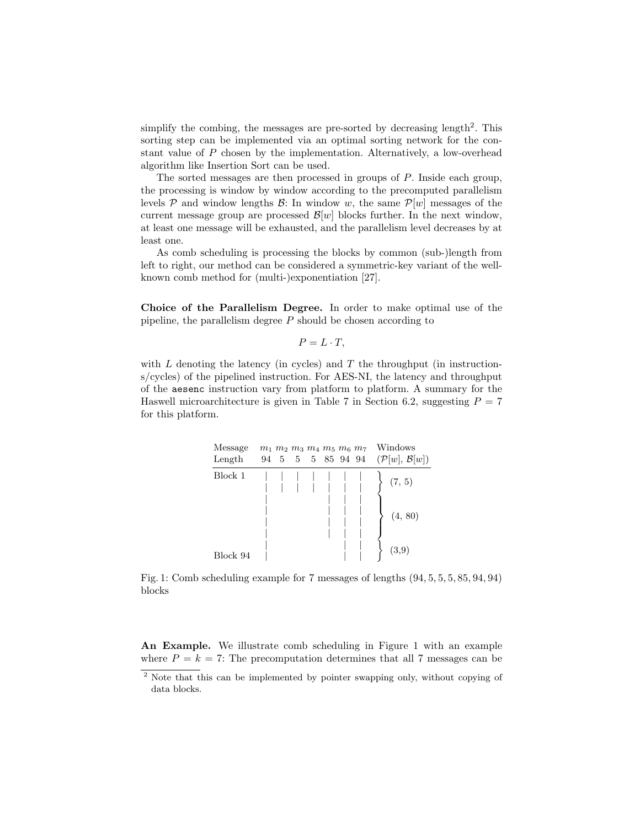simplify the combing, the messages are pre-sorted by decreasing length<sup>2</sup>. This sorting step can be implemented via an optimal sorting network for the constant value of P chosen by the implementation. Alternatively, a low-overhead algorithm like Insertion Sort can be used.

The sorted messages are then processed in groups of P. Inside each group, the processing is window by window according to the precomputed parallelism levels  $P$  and window lengths  $B$ : In window w, the same  $P[w]$  messages of the current message group are processed  $\mathcal{B}[w]$  blocks further. In the next window, at least one message will be exhausted, and the parallelism level decreases by at least one.

As comb scheduling is processing the blocks by common (sub-)length from left to right, our method can be considered a symmetric-key variant of the wellknown comb method for (multi-)exponentiation [27].

Choice of the Parallelism Degree. In order to make optimal use of the pipeline, the parallelism degree  $P$  should be chosen according to

 $P = L \cdot T$ ,

with  $L$  denoting the latency (in cycles) and  $T$  the throughput (in instructions/cycles) of the pipelined instruction. For AES-NI, the latency and throughput of the aesenc instruction vary from platform to platform. A summary for the Haswell microarchitecture is given in Table 7 in Section 6.2, suggesting  $P = 7$ for this platform.

| Message<br>Length | 94 | 5 | $m_1$ $m_2$ $m_3$ $m_4$ $m_5$ $m_6$ $m_7$ | 5 5 |  | 85 94 94 | Windows<br>$(\mathcal{P}[w], \mathcal{B}[w])$ |
|-------------------|----|---|-------------------------------------------|-----|--|----------|-----------------------------------------------|
| Block 1           |    |   |                                           |     |  |          | (7, 5)<br>(4, 80)                             |
| Block 94          |    |   |                                           |     |  |          | (3,9)                                         |

Fig. 1: Comb scheduling example for 7 messages of lengths (94, 5, 5, 5, 85, 94, 94) blocks

An Example. We illustrate comb scheduling in Figure 1 with an example where  $P = k = 7$ : The precomputation determines that all 7 messages can be

<sup>&</sup>lt;sup>2</sup> Note that this can be implemented by pointer swapping only, without copying of data blocks.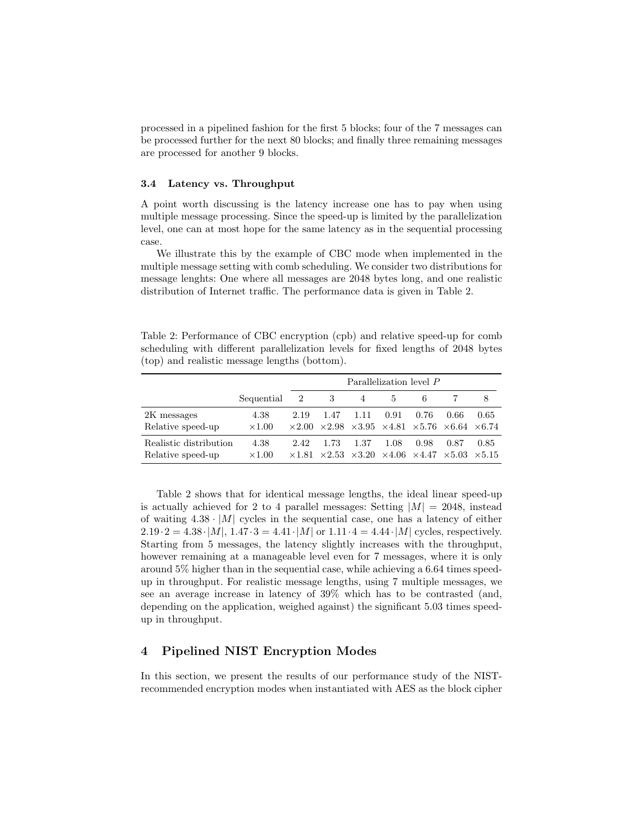processed in a pipelined fashion for the first 5 blocks; four of the 7 messages can be processed further for the next 80 blocks; and finally three remaining messages are processed for another 9 blocks.

#### 3.4 Latency vs. Throughput

A point worth discussing is the latency increase one has to pay when using multiple message processing. Since the speed-up is limited by the parallelization level, one can at most hope for the same latency as in the sequential processing case.

We illustrate this by the example of CBC mode when implemented in the multiple message setting with comb scheduling. We consider two distributions for message lenghts: One where all messages are 2048 bytes long, and one realistic distribution of Internet traffic. The performance data is given in Table 2.

Table 2: Performance of CBC encryption (cpb) and relative speed-up for comb scheduling with different parallelization levels for fixed lengths of 2048 bytes (top) and realistic message lengths (bottom).

|                                             |                      | Parallelization level P |      |      |      |                                                                                                    |      |      |
|---------------------------------------------|----------------------|-------------------------|------|------|------|----------------------------------------------------------------------------------------------------|------|------|
|                                             | Sequential           | $\overline{2}$          | 3    | 4    | 5    | 6                                                                                                  |      |      |
| 2K messages<br>Relative speed-up            | 4.38<br>$\times1.00$ | 2.19                    | 1.47 | 1.11 | 0.91 | 0.76<br>$\times2.00$ $\times2.98$ $\times3.95$ $\times4.81$ $\times5.76$ $\times6.64$ $\times6.74$ | 0.66 | 0.65 |
| Realistic distribution<br>Relative speed-up | 4.38<br>$\times1.00$ | 2.42                    | 1.73 | 1.37 | 1.08 | 0.98<br>$\times1.81$ $\times2.53$ $\times3.20$ $\times4.06$ $\times4.47$ $\times5.03$ $\times5.15$ | 0.87 | 0.85 |

Table 2 shows that for identical message lengths, the ideal linear speed-up is actually achieved for 2 to 4 parallel messages: Setting  $|M| = 2048$ , instead of waiting  $4.38 \cdot |M|$  cycles in the sequential case, one has a latency of either  $2.19 \cdot 2 = 4.38 \cdot |M|$ ,  $1.47 \cdot 3 = 4.41 \cdot |M|$  or  $1.11 \cdot 4 = 4.44 \cdot |M|$  cycles, respectively. Starting from 5 messages, the latency slightly increases with the throughput, however remaining at a manageable level even for 7 messages, where it is only around 5% higher than in the sequential case, while achieving a 6.64 times speedup in throughput. For realistic message lengths, using 7 multiple messages, we see an average increase in latency of 39% which has to be contrasted (and, depending on the application, weighed against) the significant 5.03 times speedup in throughput.

# 4 Pipelined NIST Encryption Modes

In this section, we present the results of our performance study of the NISTrecommended encryption modes when instantiated with AES as the block cipher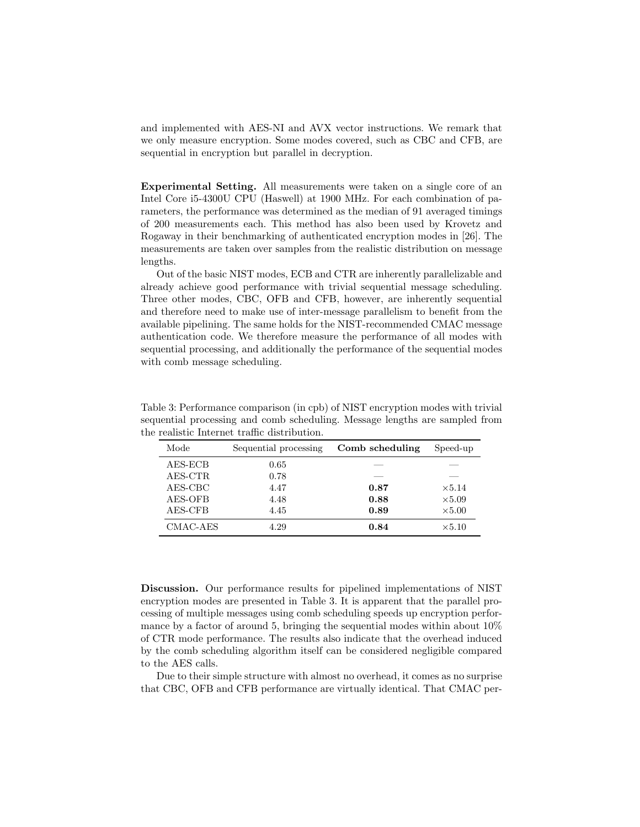and implemented with AES-NI and AVX vector instructions. We remark that we only measure encryption. Some modes covered, such as CBC and CFB, are sequential in encryption but parallel in decryption.

Experimental Setting. All measurements were taken on a single core of an Intel Core i5-4300U CPU (Haswell) at 1900 MHz. For each combination of parameters, the performance was determined as the median of 91 averaged timings of 200 measurements each. This method has also been used by Krovetz and Rogaway in their benchmarking of authenticated encryption modes in [26]. The measurements are taken over samples from the realistic distribution on message lengths.

Out of the basic NIST modes, ECB and CTR are inherently parallelizable and already achieve good performance with trivial sequential message scheduling. Three other modes, CBC, OFB and CFB, however, are inherently sequential and therefore need to make use of inter-message parallelism to benefit from the available pipelining. The same holds for the NIST-recommended CMAC message authentication code. We therefore measure the performance of all modes with sequential processing, and additionally the performance of the sequential modes with comb message scheduling.

| Mode      | Sequential processing | Comb scheduling | Speed-up      |
|-----------|-----------------------|-----------------|---------------|
| $AES-ECB$ | 0.65                  |                 |               |
| AES-CTR   | 0.78                  |                 |               |
| AES-CBC   | 4.47                  | 0.87            | $\times 5.14$ |
| AES-OFB   | 4.48                  | 0.88            | $\times 5.09$ |
| AES-CFB   | 4.45                  | 0.89            | $\times 5.00$ |
| CMAC-AES  | 4.29                  | 0.84            | $\times 5.10$ |

Table 3: Performance comparison (in cpb) of NIST encryption modes with trivial sequential processing and comb scheduling. Message lengths are sampled from the realistic Internet traffic distribution.

Discussion. Our performance results for pipelined implementations of NIST encryption modes are presented in Table 3. It is apparent that the parallel processing of multiple messages using comb scheduling speeds up encryption performance by a factor of around 5, bringing the sequential modes within about 10% of CTR mode performance. The results also indicate that the overhead induced by the comb scheduling algorithm itself can be considered negligible compared to the AES calls.

Due to their simple structure with almost no overhead, it comes as no surprise that CBC, OFB and CFB performance are virtually identical. That CMAC per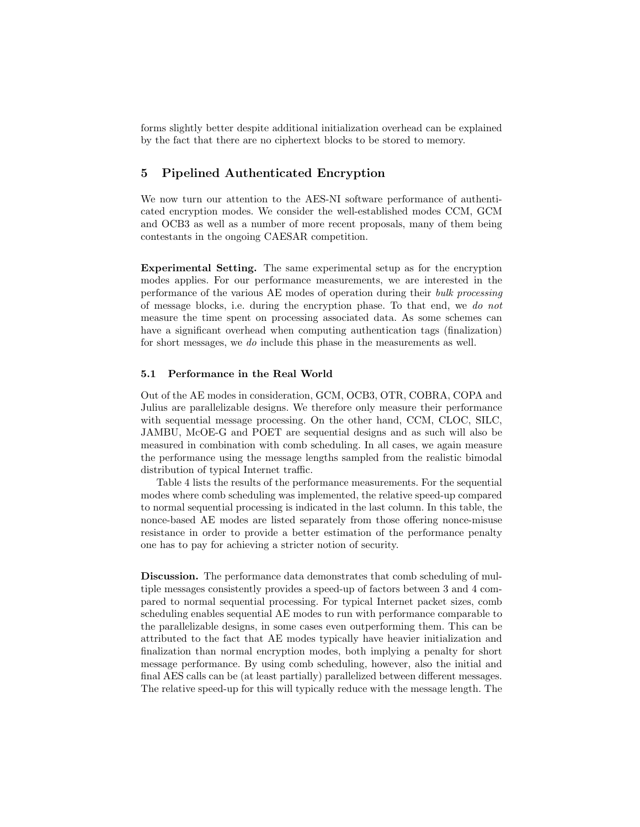forms slightly better despite additional initialization overhead can be explained by the fact that there are no ciphertext blocks to be stored to memory.

# 5 Pipelined Authenticated Encryption

We now turn our attention to the AES-NI software performance of authenticated encryption modes. We consider the well-established modes CCM, GCM and OCB3 as well as a number of more recent proposals, many of them being contestants in the ongoing CAESAR competition.

Experimental Setting. The same experimental setup as for the encryption modes applies. For our performance measurements, we are interested in the performance of the various AE modes of operation during their bulk processing of message blocks, i.e. during the encryption phase. To that end, we do not measure the time spent on processing associated data. As some schemes can have a significant overhead when computing authentication tags (finalization) for short messages, we do include this phase in the measurements as well.

#### 5.1 Performance in the Real World

Out of the AE modes in consideration, GCM, OCB3, OTR, COBRA, COPA and Julius are parallelizable designs. We therefore only measure their performance with sequential message processing. On the other hand, CCM, CLOC, SILC, JAMBU, McOE-G and POET are sequential designs and as such will also be measured in combination with comb scheduling. In all cases, we again measure the performance using the message lengths sampled from the realistic bimodal distribution of typical Internet traffic.

Table 4 lists the results of the performance measurements. For the sequential modes where comb scheduling was implemented, the relative speed-up compared to normal sequential processing is indicated in the last column. In this table, the nonce-based AE modes are listed separately from those offering nonce-misuse resistance in order to provide a better estimation of the performance penalty one has to pay for achieving a stricter notion of security.

Discussion. The performance data demonstrates that comb scheduling of multiple messages consistently provides a speed-up of factors between 3 and 4 compared to normal sequential processing. For typical Internet packet sizes, comb scheduling enables sequential AE modes to run with performance comparable to the parallelizable designs, in some cases even outperforming them. This can be attributed to the fact that AE modes typically have heavier initialization and finalization than normal encryption modes, both implying a penalty for short message performance. By using comb scheduling, however, also the initial and final AES calls can be (at least partially) parallelized between different messages. The relative speed-up for this will typically reduce with the message length. The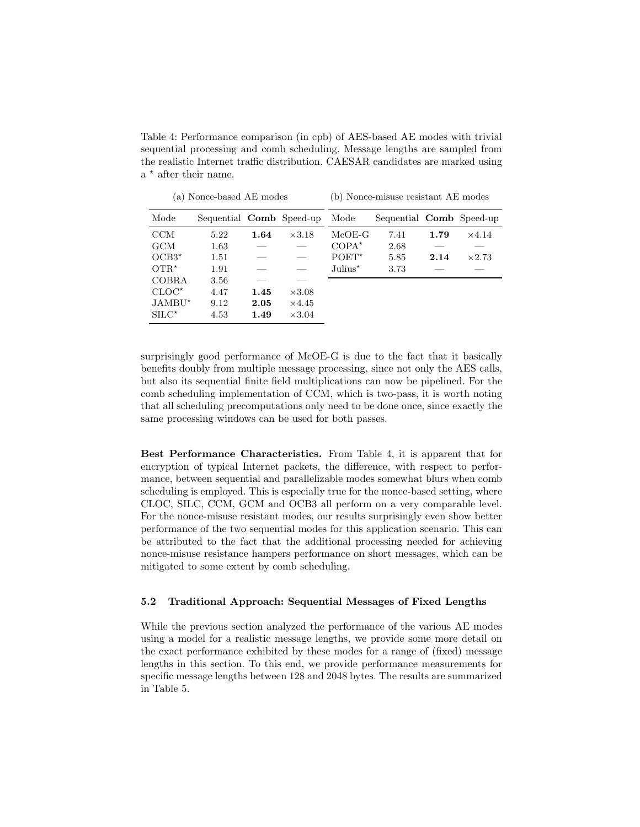Table 4: Performance comparison (in cpb) of AES-based AE modes with trivial sequential processing and comb scheduling. Message lengths are sampled from the realistic Internet traffic distribution. CAESAR candidates are marked using  $\mathbf{a}$   $^{\star}$  after their name.

|                    | (a) Nonce-based AE modes |      |               | (b) Nonce-misuse resistant AE modes |                                 |      |               |  |
|--------------------|--------------------------|------|---------------|-------------------------------------|---------------------------------|------|---------------|--|
| Mode               | Sequential Comb Speed-up |      |               | Mode                                | Sequential <b>Comb</b> Speed-up |      |               |  |
| <b>CCM</b>         | 5.22                     | 1.64 | $\times3.18$  | $McOE-G$                            | 7.41                            | 1.79 | $\times$ 4.14 |  |
| GCM                | 1.63                     |      |               | $COPA^{\star}$                      | 2.68                            |      |               |  |
| $OCB3*$            | 1.51                     |      |               | $POET^{\star}$                      | 5.85                            | 2.14 | $\times 2.73$ |  |
| $\overline{OTR^*}$ | 1.91                     |      |               | $Julius*$                           | 3.73                            |      |               |  |
| COBRA              | 3.56                     |      |               |                                     |                                 |      |               |  |
| $CLOC^{\star}$     | 4.47                     | 1.45 | $\times3.08$  |                                     |                                 |      |               |  |
| $JAMBUI*$          | 9.12                     | 2.05 | $\times$ 4.45 |                                     |                                 |      |               |  |

4.53 **1.49**  $\times 3.04$ 

 $SLC^*$ 

surprisingly good performance of McOE-G is due to the fact that it basically benefits doubly from multiple message processing, since not only the AES calls, but also its sequential finite field multiplications can now be pipelined. For the comb scheduling implementation of CCM, which is two-pass, it is worth noting that all scheduling precomputations only need to be done once, since exactly the same processing windows can be used for both passes.

Best Performance Characteristics. From Table 4, it is apparent that for encryption of typical Internet packets, the difference, with respect to performance, between sequential and parallelizable modes somewhat blurs when comb scheduling is employed. This is especially true for the nonce-based setting, where CLOC, SILC, CCM, GCM and OCB3 all perform on a very comparable level. For the nonce-misuse resistant modes, our results surprisingly even show better performance of the two sequential modes for this application scenario. This can be attributed to the fact that the additional processing needed for achieving nonce-misuse resistance hampers performance on short messages, which can be mitigated to some extent by comb scheduling.

#### 5.2 Traditional Approach: Sequential Messages of Fixed Lengths

While the previous section analyzed the performance of the various AE modes using a model for a realistic message lengths, we provide some more detail on the exact performance exhibited by these modes for a range of (fixed) message lengths in this section. To this end, we provide performance measurements for specific message lengths between 128 and 2048 bytes. The results are summarized in Table 5.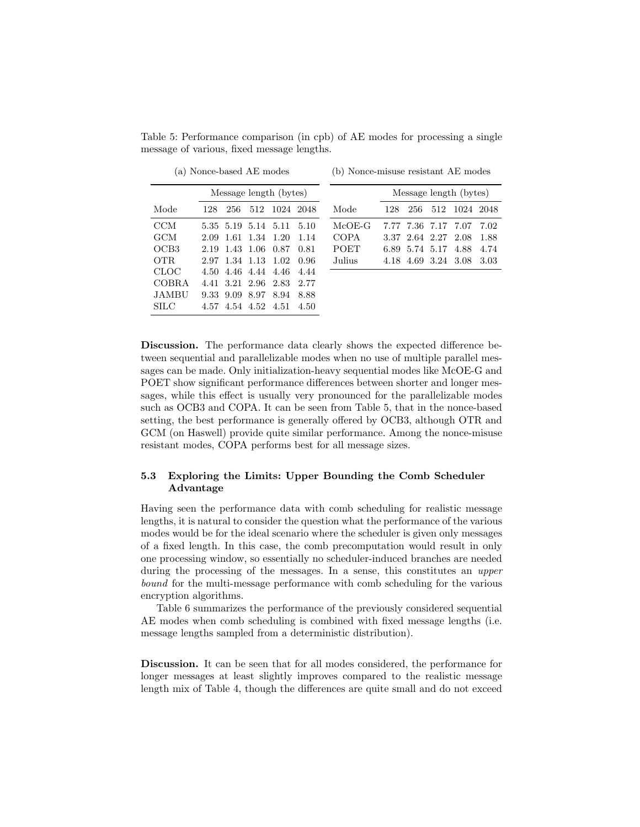Table 5: Performance comparison (in cpb) of AE modes for processing a single message of various, fixed message lengths.

| (a) Nonce-based AE modes |  |
|--------------------------|--|
|--------------------------|--|

(b) Nonce-misuse resistant AE modes

| Message length (bytes) |      |     |                |                     |       |             |      |     | Message length (bytes) |                     |      |
|------------------------|------|-----|----------------|---------------------|-------|-------------|------|-----|------------------------|---------------------|------|
| Mode                   | 128  | 256 | 512            | 1024 2048           |       | Mode        | 128  | 256 |                        | 512 1024 2048       |      |
| <b>CCM</b>             |      |     |                | 5.35 5.19 5.14 5.11 | 5.10  | $McOE-G$    |      |     |                        | 7.77 7.36 7.17 7.07 | 7.02 |
| <b>GCM</b>             |      |     |                | 2.09 1.61 1.34 1.20 | 1.14  | COPA        |      |     |                        | 3.37 2.64 2.27 2.08 | 1.88 |
| OCB3                   |      |     |                | 2.19 1.43 1.06 0.87 | 0.81  | <b>POET</b> | 6.89 |     | 5.74 5.17              | 4.88                | 4.74 |
| OTR.                   |      |     |                | 2.97 1.34 1.13 1.02 | -0.96 | Julius      |      |     |                        | 4.18 4.69 3.24 3.08 | 3.03 |
| <b>CLOC</b>            |      |     |                | 4.50 4.46 4.44 4.46 | 4.44  |             |      |     |                        |                     |      |
| <b>COBRA</b>           |      |     |                | 4.41 3.21 2.96 2.83 | 2.77  |             |      |     |                        |                     |      |
| <b>JAMBU</b>           |      |     | 9.33 9.09 8.97 | 8.94                | 8.88  |             |      |     |                        |                     |      |
| <b>SILC</b>            | 4.57 |     | 4.54 4.52      | 4.51                | 4.50  |             |      |     |                        |                     |      |

Discussion. The performance data clearly shows the expected difference between sequential and parallelizable modes when no use of multiple parallel messages can be made. Only initialization-heavy sequential modes like McOE-G and POET show significant performance differences between shorter and longer messages, while this effect is usually very pronounced for the parallelizable modes such as OCB3 and COPA. It can be seen from Table 5, that in the nonce-based setting, the best performance is generally offered by OCB3, although OTR and GCM (on Haswell) provide quite similar performance. Among the nonce-misuse resistant modes, COPA performs best for all message sizes.

# 5.3 Exploring the Limits: Upper Bounding the Comb Scheduler Advantage

Having seen the performance data with comb scheduling for realistic message lengths, it is natural to consider the question what the performance of the various modes would be for the ideal scenario where the scheduler is given only messages of a fixed length. In this case, the comb precomputation would result in only one processing window, so essentially no scheduler-induced branches are needed during the processing of the messages. In a sense, this constitutes an *upper* bound for the multi-message performance with comb scheduling for the various encryption algorithms.

Table 6 summarizes the performance of the previously considered sequential AE modes when comb scheduling is combined with fixed message lengths (i.e. message lengths sampled from a deterministic distribution).

Discussion. It can be seen that for all modes considered, the performance for longer messages at least slightly improves compared to the realistic message length mix of Table 4, though the differences are quite small and do not exceed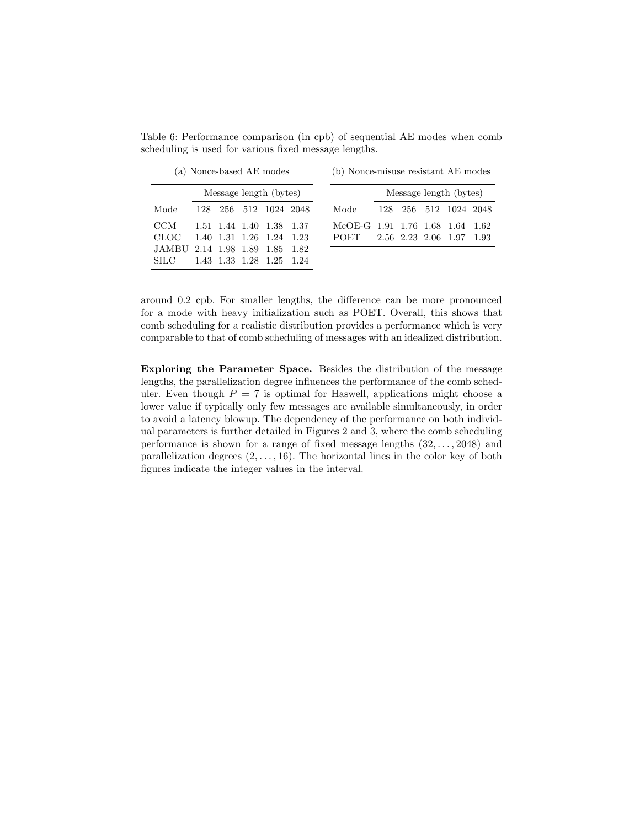Table 6: Performance comparison (in cpb) of sequential AE modes when comb scheduling is used for various fixed message lengths.

|  |  | (a) Nonce-based AE modes |  |  |  |
|--|--|--------------------------|--|--|--|
|--|--|--------------------------|--|--|--|

(b) Nonce-misuse resistant AE modes

| Message length (bytes)                                          |  |  |  |                          |  |                                          | Message length (bytes) |                          |  |
|-----------------------------------------------------------------|--|--|--|--------------------------|--|------------------------------------------|------------------------|--------------------------|--|
| Mode                                                            |  |  |  | 128 256 512 1024 2048    |  | Mode                                     |                        | 128 256 512 1024 2048    |  |
| CCM 1.51 1.44 1.40 1.38 1.37<br>CLOC-                           |  |  |  | 1.40 1.31 1.26 1.24 1.23 |  | McOE-G 1.91 1.76 1.68 1.64 1.62<br>POET. |                        | 2.56 2.23 2.06 1.97 1.93 |  |
| JAMBU 2.14 1.98 1.89 1.85 1.82<br>SILC 1.43 1.33 1.28 1.25 1.24 |  |  |  |                          |  |                                          |                        |                          |  |

around 0.2 cpb. For smaller lengths, the difference can be more pronounced for a mode with heavy initialization such as POET. Overall, this shows that comb scheduling for a realistic distribution provides a performance which is very comparable to that of comb scheduling of messages with an idealized distribution.

Exploring the Parameter Space. Besides the distribution of the message lengths, the parallelization degree influences the performance of the comb scheduler. Even though  $P = 7$  is optimal for Haswell, applications might choose a lower value if typically only few messages are available simultaneously, in order to avoid a latency blowup. The dependency of the performance on both individual parameters is further detailed in Figures 2 and 3, where the comb scheduling performance is shown for a range of fixed message lengths  $(32, \ldots, 2048)$  and parallelization degrees  $(2, \ldots, 16)$ . The horizontal lines in the color key of both figures indicate the integer values in the interval.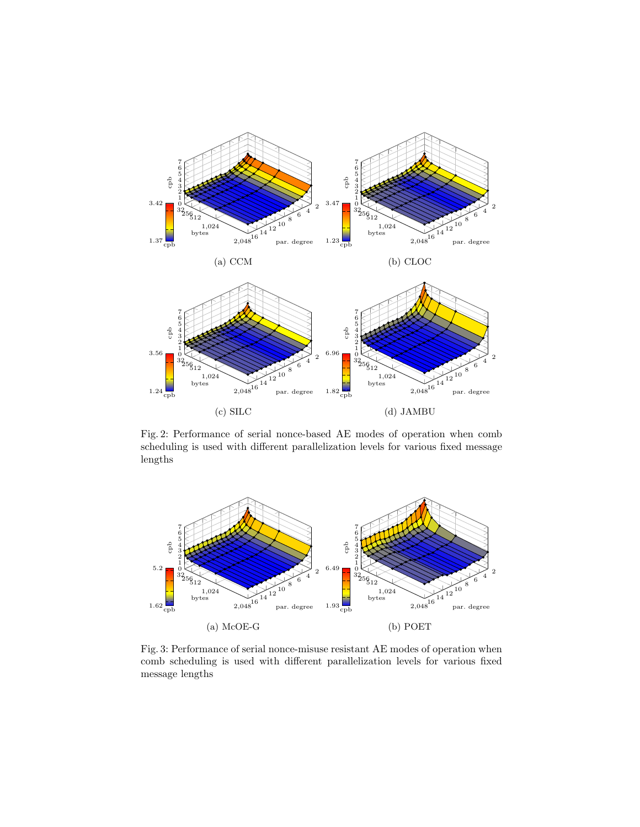

Fig. 2: Performance of serial nonce-based AE modes of operation when comb scheduling is used with different parallelization levels for various fixed message lengths



Fig. 3: Performance of serial nonce-misuse resistant AE modes of operation when comb scheduling is used with different parallelization levels for various fixed message lengths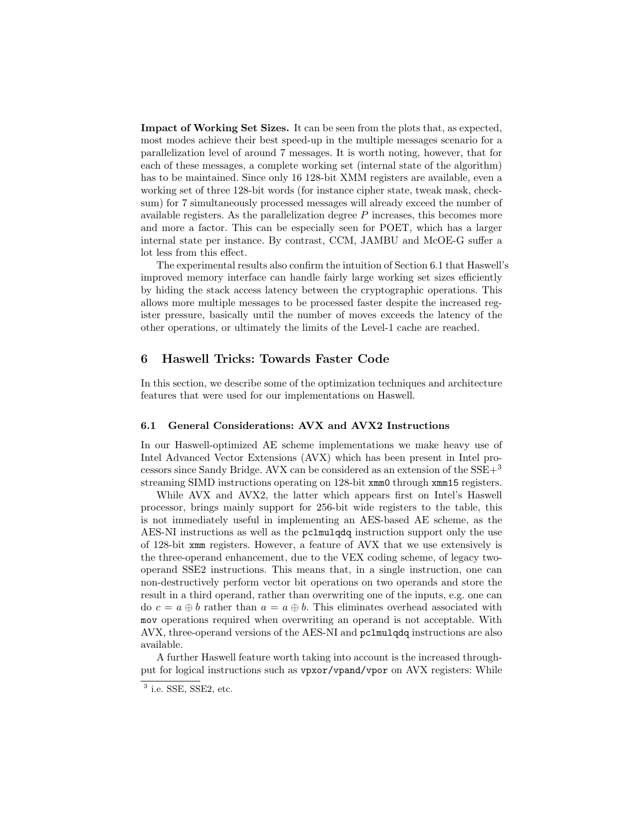Impact of Working Set Sizes. It can be seen from the plots that, as expected, most modes achieve their best speed-up in the multiple messages scenario for a parallelization level of around 7 messages. It is worth noting, however, that for each of these messages, a complete working set (internal state of the algorithm) has to be maintained. Since only 16 128-bit XMM registers are available, even a working set of three 128-bit words (for instance cipher state, tweak mask, checksum) for 7 simultaneously processed messages will already exceed the number of available registers. As the parallelization degree  $P$  increases, this becomes more and more a factor. This can be especially seen for POET, which has a larger internal state per instance. By contrast, CCM, JAMBU and McOE-G suffer a lot less from this effect.

The experimental results also confirm the intuition of Section 6.1 that Haswell's improved memory interface can handle fairly large working set sizes efficiently by hiding the stack access latency between the cryptographic operations. This allows more multiple messages to be processed faster despite the increased register pressure, basically until the number of moves exceeds the latency of the other operations, or ultimately the limits of the Level-1 cache are reached.

## 6 Haswell Tricks: Towards Faster Code

In this section, we describe some of the optimization techniques and architecture features that were used for our implementations on Haswell.

#### 6.1 General Considerations: AVX and AVX2 Instructions

In our Haswell-optimized AE scheme implementations we make heavy use of Intel Advanced Vector Extensions (AVX) which has been present in Intel processors since Sandy Bridge. AVX can be considered as an extension of the  $SSE+<sup>3</sup>$ streaming SIMD instructions operating on 128-bit xmm0 through xmm15 registers.

While AVX and AVX2, the latter which appears first on Intel's Haswell processor, brings mainly support for 256-bit wide registers to the table, this is not immediately useful in implementing an AES-based AE scheme, as the AES-NI instructions as well as the pclmulqdq instruction support only the use of 128-bit xmm registers. However, a feature of AVX that we use extensively is the three-operand enhancement, due to the VEX coding scheme, of legacy twooperand SSE2 instructions. This means that, in a single instruction, one can non-destructively perform vector bit operations on two operands and store the result in a third operand, rather than overwriting one of the inputs, e.g. one can do  $c = a \oplus b$  rather than  $a = a \oplus b$ . This eliminates overhead associated with mov operations required when overwriting an operand is not acceptable. With AVX, three-operand versions of the AES-NI and pclmulqdq instructions are also available.

A further Haswell feature worth taking into account is the increased throughput for logical instructions such as vpxor/vpand/vpor on AVX registers: While

<sup>&</sup>lt;sup>3</sup> i.e. SSE, SSE2, etc.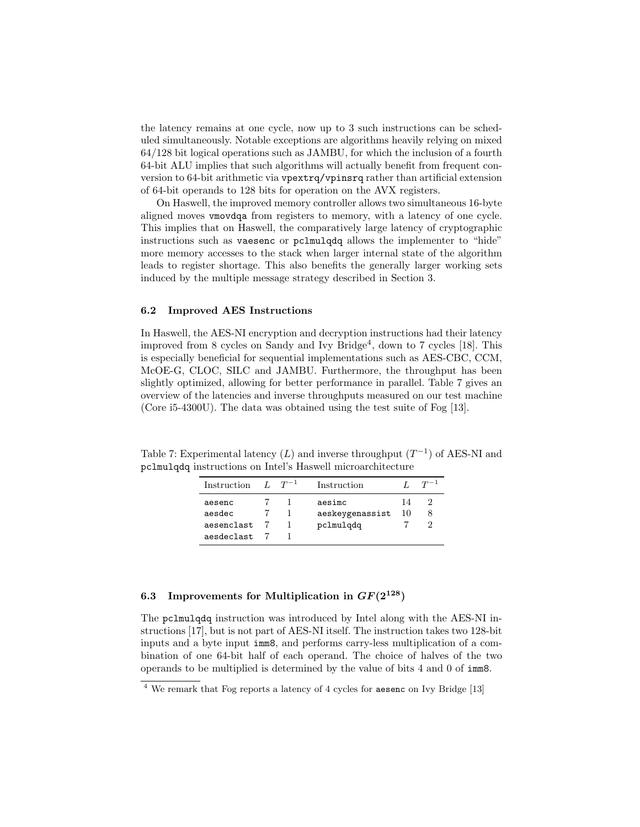the latency remains at one cycle, now up to 3 such instructions can be scheduled simultaneously. Notable exceptions are algorithms heavily relying on mixed 64/128 bit logical operations such as JAMBU, for which the inclusion of a fourth 64-bit ALU implies that such algorithms will actually benefit from frequent conversion to 64-bit arithmetic via vpextrq/vpinsrq rather than artificial extension of 64-bit operands to 128 bits for operation on the AVX registers.

On Haswell, the improved memory controller allows two simultaneous 16-byte aligned moves vmovdqa from registers to memory, with a latency of one cycle. This implies that on Haswell, the comparatively large latency of cryptographic instructions such as vaesenc or pclmulqdq allows the implementer to "hide" more memory accesses to the stack when larger internal state of the algorithm leads to register shortage. This also benefits the generally larger working sets induced by the multiple message strategy described in Section 3.

#### 6.2 Improved AES Instructions

In Haswell, the AES-NI encryption and decryption instructions had their latency improved from 8 cycles on Sandy and Ivy Bridge<sup>4</sup>, down to 7 cycles [18]. This is especially beneficial for sequential implementations such as AES-CBC, CCM, McOE-G, CLOC, SILC and JAMBU. Furthermore, the throughput has been slightly optimized, allowing for better performance in parallel. Table 7 gives an overview of the latencies and inverse throughputs measured on our test machine (Core i5-4300U). The data was obtained using the test suite of Fog [13].

Table 7: Experimental latency  $(L)$  and inverse throughput  $(T^{-1})$  of AES-NI and pclmulqdq instructions on Intel's Haswell microarchitecture

| Instruction | $\boldsymbol{I}$ . | $T^{-1}$ | Instruction     |    | $T^{-1}$ |
|-------------|--------------------|----------|-----------------|----|----------|
| aesenc      |                    |          | aesimc          | 14 |          |
| aesdec      |                    |          | aeskeygenassist | 10 | 8        |
| aesenclast  |                    |          | pclmulqdq       |    |          |
| aesdeclast  |                    |          |                 |    |          |

### 6.3 Improvements for Multiplication in  $GF(2^{128})$

The pclmulqdq instruction was introduced by Intel along with the AES-NI instructions [17], but is not part of AES-NI itself. The instruction takes two 128-bit inputs and a byte input imm8, and performs carry-less multiplication of a combination of one 64-bit half of each operand. The choice of halves of the two operands to be multiplied is determined by the value of bits 4 and 0 of imm8.

<sup>4</sup> We remark that Fog reports a latency of 4 cycles for aesenc on Ivy Bridge [13]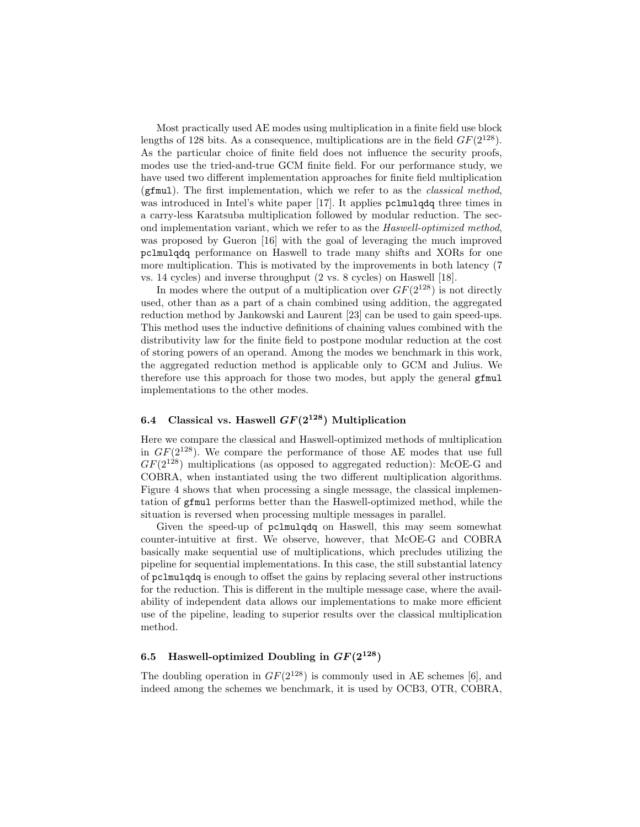Most practically used AE modes using multiplication in a finite field use block lengths of 128 bits. As a consequence, multiplications are in the field  $GF(2^{128})$ . As the particular choice of finite field does not influence the security proofs, modes use the tried-and-true GCM finite field. For our performance study, we have used two different implementation approaches for finite field multiplication (gfmul). The first implementation, which we refer to as the classical method, was introduced in Intel's white paper [17]. It applies pclmulqdq three times in a carry-less Karatsuba multiplication followed by modular reduction. The second implementation variant, which we refer to as the Haswell-optimized method, was proposed by Gueron [16] with the goal of leveraging the much improved pclmulqdq performance on Haswell to trade many shifts and XORs for one more multiplication. This is motivated by the improvements in both latency (7 vs. 14 cycles) and inverse throughput (2 vs. 8 cycles) on Haswell [18].

In modes where the output of a multiplication over  $GF(2^{128})$  is not directly used, other than as a part of a chain combined using addition, the aggregated reduction method by Jankowski and Laurent [23] can be used to gain speed-ups. This method uses the inductive definitions of chaining values combined with the distributivity law for the finite field to postpone modular reduction at the cost of storing powers of an operand. Among the modes we benchmark in this work, the aggregated reduction method is applicable only to GCM and Julius. We therefore use this approach for those two modes, but apply the general gfmul implementations to the other modes.

# 6.4 Classical vs. Haswell  $GF(2^{128})$  Multiplication

Here we compare the classical and Haswell-optimized methods of multiplication in  $GF(2^{128})$ . We compare the performance of those AE modes that use full  $GF(2^{128})$  multiplications (as opposed to aggregated reduction): McOE-G and COBRA, when instantiated using the two different multiplication algorithms. Figure 4 shows that when processing a single message, the classical implementation of gfmul performs better than the Haswell-optimized method, while the situation is reversed when processing multiple messages in parallel.

Given the speed-up of pclmulqdq on Haswell, this may seem somewhat counter-intuitive at first. We observe, however, that McOE-G and COBRA basically make sequential use of multiplications, which precludes utilizing the pipeline for sequential implementations. In this case, the still substantial latency of pclmulqdq is enough to offset the gains by replacing several other instructions for the reduction. This is different in the multiple message case, where the availability of independent data allows our implementations to make more efficient use of the pipeline, leading to superior results over the classical multiplication method.

# 6.5 Haswell-optimized Doubling in  $GF(2^{128})$

The doubling operation in  $GF(2^{128})$  is commonly used in AE schemes [6], and indeed among the schemes we benchmark, it is used by OCB3, OTR, COBRA,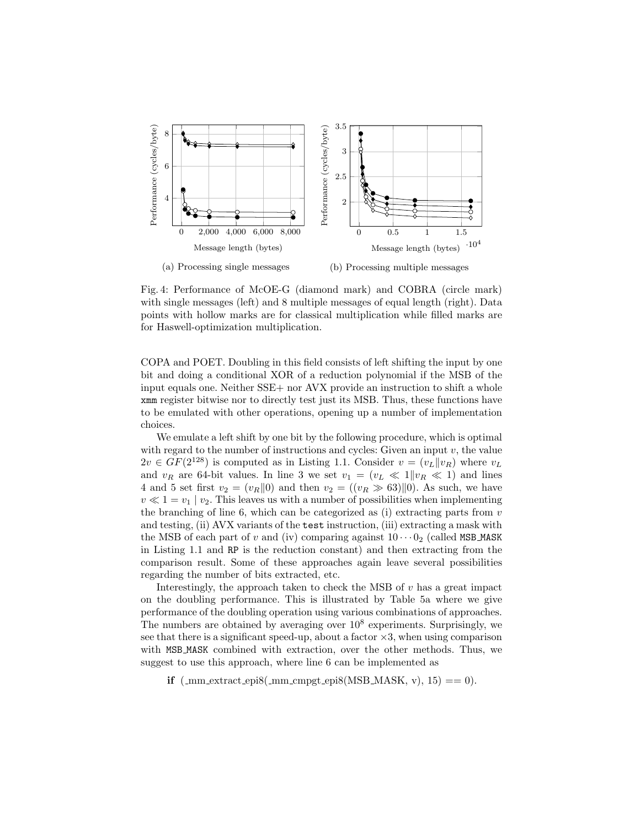

Fig. 4: Performance of McOE-G (diamond mark) and COBRA (circle mark) with single messages (left) and 8 multiple messages of equal length (right). Data points with hollow marks are for classical multiplication while filled marks are for Haswell-optimization multiplication.

COPA and POET. Doubling in this field consists of left shifting the input by one bit and doing a conditional XOR of a reduction polynomial if the MSB of the input equals one. Neither SSE+ nor AVX provide an instruction to shift a whole xmm register bitwise nor to directly test just its MSB. Thus, these functions have to be emulated with other operations, opening up a number of implementation choices.

We emulate a left shift by one bit by the following procedure, which is optimal with regard to the number of instructions and cycles: Given an input  $v$ , the value  $2v \in GF(2^{128})$  is computed as in Listing 1.1. Consider  $v = (v_L || v_R)$  where  $v_L$ and  $v_R$  are 64-bit values. In line 3 we set  $v_1 = (v_L \ll 1 || v_R \ll 1)$  and lines 4 and 5 set first  $v_2 = (v_R||0)$  and then  $v_2 = ((v_R \gg 63)||0)$ . As such, we have  $v \ll 1 = v_1 | v_2$ . This leaves us with a number of possibilities when implementing the branching of line 6, which can be categorized as (i) extracting parts from  $v$ and testing, (ii) AVX variants of the test instruction, (iii) extracting a mask with the MSB of each part of v and (iv) comparing against  $10 \cdots 0_2$  (called MSB MASK in Listing 1.1 and RP is the reduction constant) and then extracting from the comparison result. Some of these approaches again leave several possibilities regarding the number of bits extracted, etc.

Interestingly, the approach taken to check the MSB of  $v$  has a great impact on the doubling performance. This is illustrated by Table 5a where we give performance of the doubling operation using various combinations of approaches. The numbers are obtained by averaging over  $10<sup>8</sup>$  experiments. Surprisingly, we see that there is a significant speed-up, about a factor  $\times 3$ , when using comparison with MSB MASK combined with extraction, over the other methods. Thus, we suggest to use this approach, where line 6 can be implemented as

if  $(\text{mm-extract_epi8}(\text{mm_cmpgt_epi8})$ (MSB\_MASK, v), 15) = = 0).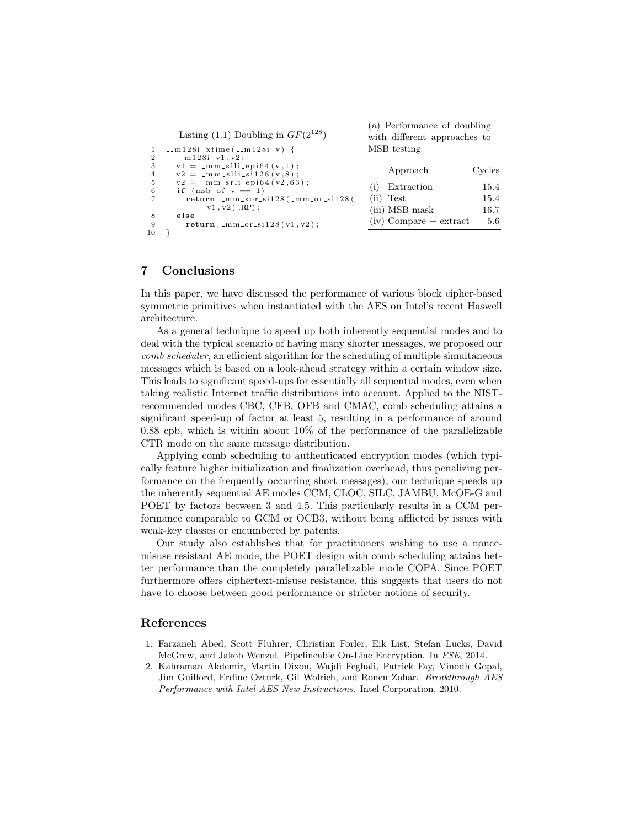| 2      | Listing (1.1) Doubling in $GF(2^{128})$<br>$-m128i$ xtime $(-m128i v)$<br>$-m128i$ v1, v2; | (a) Performance of doubling<br>with different approaches to<br>MSB testing |        |
|--------|--------------------------------------------------------------------------------------------|----------------------------------------------------------------------------|--------|
| 3<br>4 | $v1 = \text{mm\_slli\_epi64}(v,1);$<br>$v2 = \text{mm}$ slli_si128 (v,8);                  | Approach                                                                   | Cycles |
| 5<br>6 | $v2 = \text{mm}$ -srli-epi $64 (v2, 63)$ ;<br>if (msb of $v == 1$ )                        | Extraction<br>[1]                                                          | 15.4   |
|        | $return$ $mm_x$ or $-si128$ ( $mm_0$ $r_si128$ )                                           | (ii)<br>Test                                                               | 15.4   |
|        | $v1, v2)$ , RP);                                                                           | (iii) MSB mask                                                             | 16.7   |
| 8      | else                                                                                       | $(iv)$ Compare $+$ extract                                                 | 5.6    |
| 9      | $return$ $mm_0r_sii28(v1, v2);$                                                            |                                                                            |        |
| 10     |                                                                                            |                                                                            |        |

# 7 Conclusions

In this paper, we have discussed the performance of various block cipher-based symmetric primitives when instantiated with the AES on Intel's recent Haswell architecture.

As a general technique to speed up both inherently sequential modes and to deal with the typical scenario of having many shorter messages, we proposed our comb scheduler, an efficient algorithm for the scheduling of multiple simultaneous messages which is based on a look-ahead strategy within a certain window size. This leads to significant speed-ups for essentially all sequential modes, even when taking realistic Internet traffic distributions into account. Applied to the NISTrecommended modes CBC, CFB, OFB and CMAC, comb scheduling attains a significant speed-up of factor at least 5, resulting in a performance of around 0.88 cpb, which is within about 10% of the performance of the parallelizable CTR mode on the same message distribution.

Applying comb scheduling to authenticated encryption modes (which typically feature higher initialization and finalization overhead, thus penalizing performance on the frequently occurring short messages), our technique speeds up the inherently sequential AE modes CCM, CLOC, SILC, JAMBU, McOE-G and POET by factors between 3 and 4.5. This particularly results in a CCM performance comparable to GCM or OCB3, without being afflicted by issues with weak-key classes or encumbered by patents.

Our study also establishes that for practitioners wishing to use a noncemisuse resistant AE mode, the POET design with comb scheduling attains better performance than the completely parallelizable mode COPA. Since POET furthermore offers ciphertext-misuse resistance, this suggests that users do not have to choose between good performance or stricter notions of security.

#### References

- 1. Farzaneh Abed, Scott Fluhrer, Christian Forler, Eik List, Stefan Lucks, David McGrew, and Jakob Wenzel. Pipelineable On-Line Encryption. In FSE, 2014.
- 2. Kahraman Akdemir, Martin Dixon, Wajdi Feghali, Patrick Fay, Vinodh Gopal, Jim Guilford, Erdinc Ozturk, Gil Wolrich, and Ronen Zohar. Breakthrough AES Performance with Intel AES New Instructions. Intel Corporation, 2010.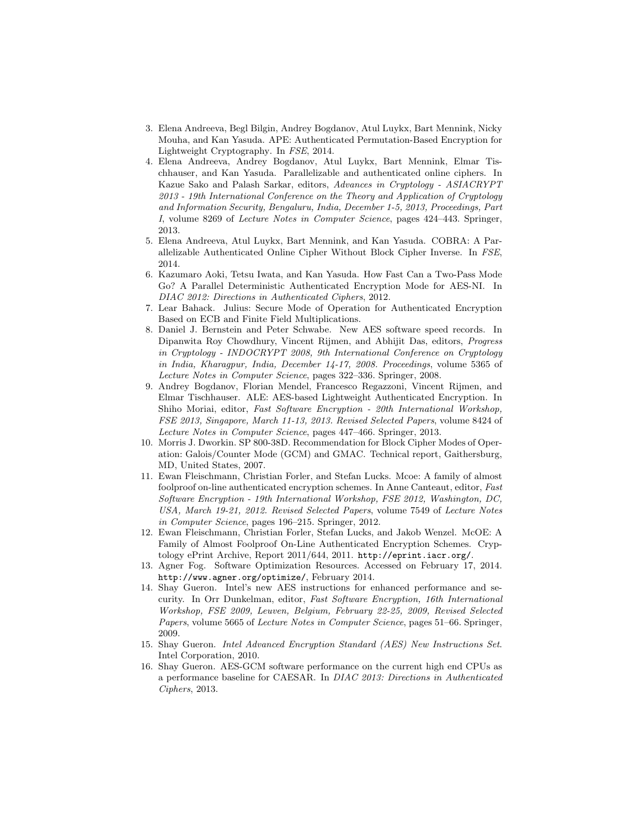- 3. Elena Andreeva, Begl Bilgin, Andrey Bogdanov, Atul Luykx, Bart Mennink, Nicky Mouha, and Kan Yasuda. APE: Authenticated Permutation-Based Encryption for Lightweight Cryptography. In FSE, 2014.
- 4. Elena Andreeva, Andrey Bogdanov, Atul Luykx, Bart Mennink, Elmar Tischhauser, and Kan Yasuda. Parallelizable and authenticated online ciphers. In Kazue Sako and Palash Sarkar, editors, Advances in Cryptology - ASIACRYPT 2013 - 19th International Conference on the Theory and Application of Cryptology and Information Security, Bengaluru, India, December 1-5, 2013, Proceedings, Part I, volume 8269 of Lecture Notes in Computer Science, pages 424–443. Springer, 2013.
- 5. Elena Andreeva, Atul Luykx, Bart Mennink, and Kan Yasuda. COBRA: A Parallelizable Authenticated Online Cipher Without Block Cipher Inverse. In FSE, 2014.
- 6. Kazumaro Aoki, Tetsu Iwata, and Kan Yasuda. How Fast Can a Two-Pass Mode Go? A Parallel Deterministic Authenticated Encryption Mode for AES-NI. In DIAC 2012: Directions in Authenticated Ciphers, 2012.
- 7. Lear Bahack. Julius: Secure Mode of Operation for Authenticated Encryption Based on ECB and Finite Field Multiplications.
- 8. Daniel J. Bernstein and Peter Schwabe. New AES software speed records. In Dipanwita Roy Chowdhury, Vincent Rijmen, and Abhijit Das, editors, Progress in Cryptology - INDOCRYPT 2008, 9th International Conference on Cryptology in India, Kharagpur, India, December 14-17, 2008. Proceedings, volume 5365 of Lecture Notes in Computer Science, pages 322–336. Springer, 2008.
- 9. Andrey Bogdanov, Florian Mendel, Francesco Regazzoni, Vincent Rijmen, and Elmar Tischhauser. ALE: AES-based Lightweight Authenticated Encryption. In Shiho Moriai, editor, Fast Software Encryption - 20th International Workshop, FSE 2013, Singapore, March 11-13, 2013. Revised Selected Papers, volume 8424 of Lecture Notes in Computer Science, pages 447–466. Springer, 2013.
- 10. Morris J. Dworkin. SP 800-38D. Recommendation for Block Cipher Modes of Operation: Galois/Counter Mode (GCM) and GMAC. Technical report, Gaithersburg, MD, United States, 2007.
- 11. Ewan Fleischmann, Christian Forler, and Stefan Lucks. Mcoe: A family of almost foolproof on-line authenticated encryption schemes. In Anne Canteaut, editor, Fast Software Encryption - 19th International Workshop, FSE 2012, Washington, DC, USA, March 19-21, 2012. Revised Selected Papers, volume 7549 of Lecture Notes in Computer Science, pages 196–215. Springer, 2012.
- 12. Ewan Fleischmann, Christian Forler, Stefan Lucks, and Jakob Wenzel. McOE: A Family of Almost Foolproof On-Line Authenticated Encryption Schemes. Cryptology ePrint Archive, Report 2011/644, 2011. http://eprint.iacr.org/.
- 13. Agner Fog. Software Optimization Resources. Accessed on February 17, 2014. http://www.agner.org/optimize/, February 2014.
- 14. Shay Gueron. Intel's new AES instructions for enhanced performance and security. In Orr Dunkelman, editor, Fast Software Encryption, 16th International Workshop, FSE 2009, Leuven, Belgium, February 22-25, 2009, Revised Selected Papers, volume 5665 of Lecture Notes in Computer Science, pages 51–66. Springer, 2009.
- 15. Shay Gueron. Intel Advanced Encryption Standard (AES) New Instructions Set. Intel Corporation, 2010.
- 16. Shay Gueron. AES-GCM software performance on the current high end CPUs as a performance baseline for CAESAR. In DIAC 2013: Directions in Authenticated Ciphers, 2013.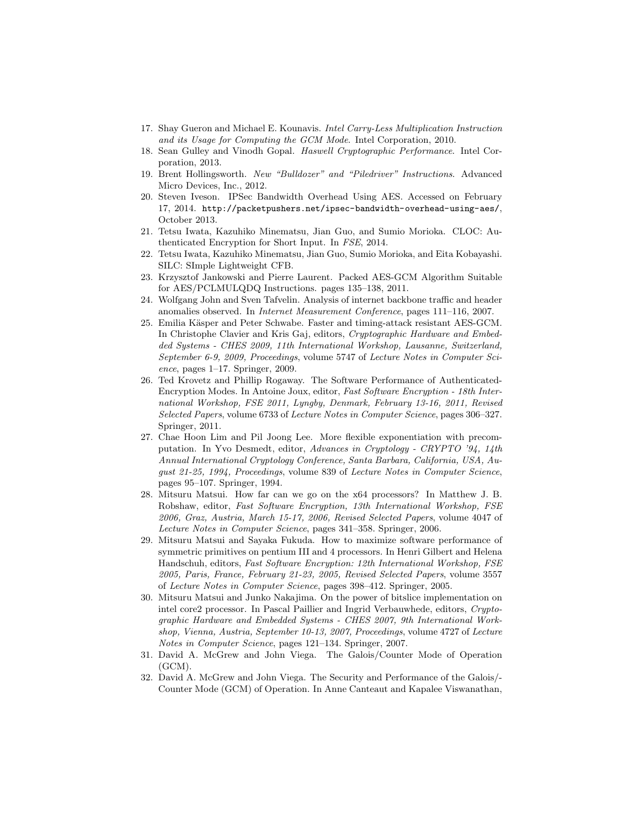- 17. Shay Gueron and Michael E. Kounavis. Intel Carry-Less Multiplication Instruction and its Usage for Computing the GCM Mode. Intel Corporation, 2010.
- 18. Sean Gulley and Vinodh Gopal. Haswell Cryptographic Performance. Intel Corporation, 2013.
- 19. Brent Hollingsworth. New "Bulldozer" and "Piledriver" Instructions. Advanced Micro Devices, Inc., 2012.
- 20. Steven Iveson. IPSec Bandwidth Overhead Using AES. Accessed on February 17, 2014. http://packetpushers.net/ipsec-bandwidth-overhead-using-aes/, October 2013.
- 21. Tetsu Iwata, Kazuhiko Minematsu, Jian Guo, and Sumio Morioka. CLOC: Authenticated Encryption for Short Input. In FSE, 2014.
- 22. Tetsu Iwata, Kazuhiko Minematsu, Jian Guo, Sumio Morioka, and Eita Kobayashi. SILC: SImple Lightweight CFB.
- 23. Krzysztof Jankowski and Pierre Laurent. Packed AES-GCM Algorithm Suitable for AES/PCLMULQDQ Instructions. pages 135–138, 2011.
- 24. Wolfgang John and Sven Tafvelin. Analysis of internet backbone traffic and header anomalies observed. In Internet Measurement Conference, pages 111–116, 2007.
- 25. Emilia Käsper and Peter Schwabe. Faster and timing-attack resistant AES-GCM. In Christophe Clavier and Kris Gaj, editors, Cryptographic Hardware and Embedded Systems - CHES 2009, 11th International Workshop, Lausanne, Switzerland, September 6-9, 2009, Proceedings, volume 5747 of Lecture Notes in Computer Science, pages  $1-17$ . Springer, 2009.
- 26. Ted Krovetz and Phillip Rogaway. The Software Performance of Authenticated-Encryption Modes. In Antoine Joux, editor, Fast Software Encryption - 18th International Workshop, FSE 2011, Lyngby, Denmark, February 13-16, 2011, Revised Selected Papers, volume 6733 of Lecture Notes in Computer Science, pages 306–327. Springer, 2011.
- 27. Chae Hoon Lim and Pil Joong Lee. More flexible exponentiation with precomputation. In Yvo Desmedt, editor, Advances in Cryptology - CRYPTO '94, 14th Annual International Cryptology Conference, Santa Barbara, California, USA, August 21-25, 1994, Proceedings, volume 839 of Lecture Notes in Computer Science, pages 95–107. Springer, 1994.
- 28. Mitsuru Matsui. How far can we go on the x64 processors? In Matthew J. B. Robshaw, editor, Fast Software Encryption, 13th International Workshop, FSE 2006, Graz, Austria, March 15-17, 2006, Revised Selected Papers, volume 4047 of Lecture Notes in Computer Science, pages 341–358. Springer, 2006.
- 29. Mitsuru Matsui and Sayaka Fukuda. How to maximize software performance of symmetric primitives on pentium III and 4 processors. In Henri Gilbert and Helena Handschuh, editors, Fast Software Encryption: 12th International Workshop, FSE 2005, Paris, France, February 21-23, 2005, Revised Selected Papers, volume 3557 of Lecture Notes in Computer Science, pages 398–412. Springer, 2005.
- 30. Mitsuru Matsui and Junko Nakajima. On the power of bitslice implementation on intel core2 processor. In Pascal Paillier and Ingrid Verbauwhede, editors, Cryptographic Hardware and Embedded Systems - CHES 2007, 9th International Workshop, Vienna, Austria, September 10-13, 2007, Proceedings, volume 4727 of Lecture Notes in Computer Science, pages 121–134. Springer, 2007.
- 31. David A. McGrew and John Viega. The Galois/Counter Mode of Operation (GCM).
- 32. David A. McGrew and John Viega. The Security and Performance of the Galois/- Counter Mode (GCM) of Operation. In Anne Canteaut and Kapalee Viswanathan,